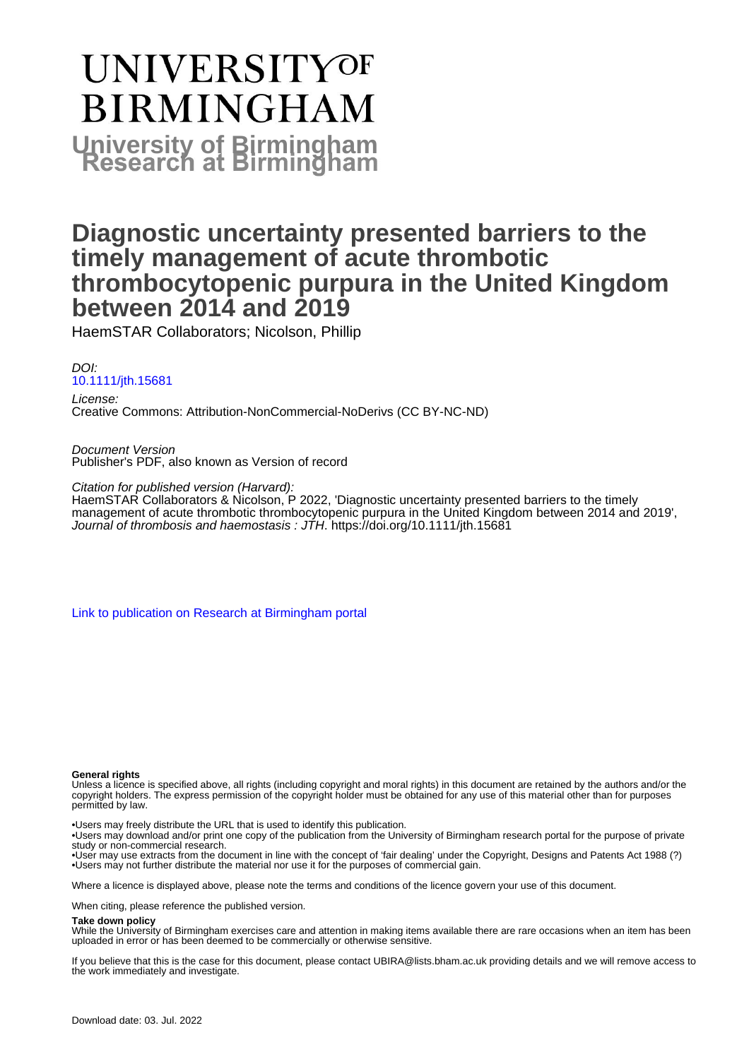# **UNIVERSITYOF BIRMINGHAM University of Birmingham**

### **Diagnostic uncertainty presented barriers to the timely management of acute thrombotic thrombocytopenic purpura in the United Kingdom between 2014 and 2019**

HaemSTAR Collaborators; Nicolson, Phillip

DOI: [10.1111/jth.15681](https://doi.org/10.1111/jth.15681)

License: Creative Commons: Attribution-NonCommercial-NoDerivs (CC BY-NC-ND)

Document Version Publisher's PDF, also known as Version of record

Citation for published version (Harvard):

HaemSTAR Collaborators & Nicolson, P 2022, 'Diagnostic uncertainty presented barriers to the timely management of acute thrombotic thrombocytopenic purpura in the United Kingdom between 2014 and 2019', Journal of thrombosis and haemostasis : JTH.<https://doi.org/10.1111/jth.15681>

[Link to publication on Research at Birmingham portal](https://birmingham.elsevierpure.com/en/publications/7cbc0db0-0136-4843-b382-c3731e2d34a3)

#### **General rights**

Unless a licence is specified above, all rights (including copyright and moral rights) in this document are retained by the authors and/or the copyright holders. The express permission of the copyright holder must be obtained for any use of this material other than for purposes permitted by law.

• Users may freely distribute the URL that is used to identify this publication.

• Users may download and/or print one copy of the publication from the University of Birmingham research portal for the purpose of private study or non-commercial research.

• User may use extracts from the document in line with the concept of 'fair dealing' under the Copyright, Designs and Patents Act 1988 (?) • Users may not further distribute the material nor use it for the purposes of commercial gain.

Where a licence is displayed above, please note the terms and conditions of the licence govern your use of this document.

When citing, please reference the published version.

#### **Take down policy**

While the University of Birmingham exercises care and attention in making items available there are rare occasions when an item has been uploaded in error or has been deemed to be commercially or otherwise sensitive.

If you believe that this is the case for this document, please contact UBIRA@lists.bham.ac.uk providing details and we will remove access to the work immediately and investigate.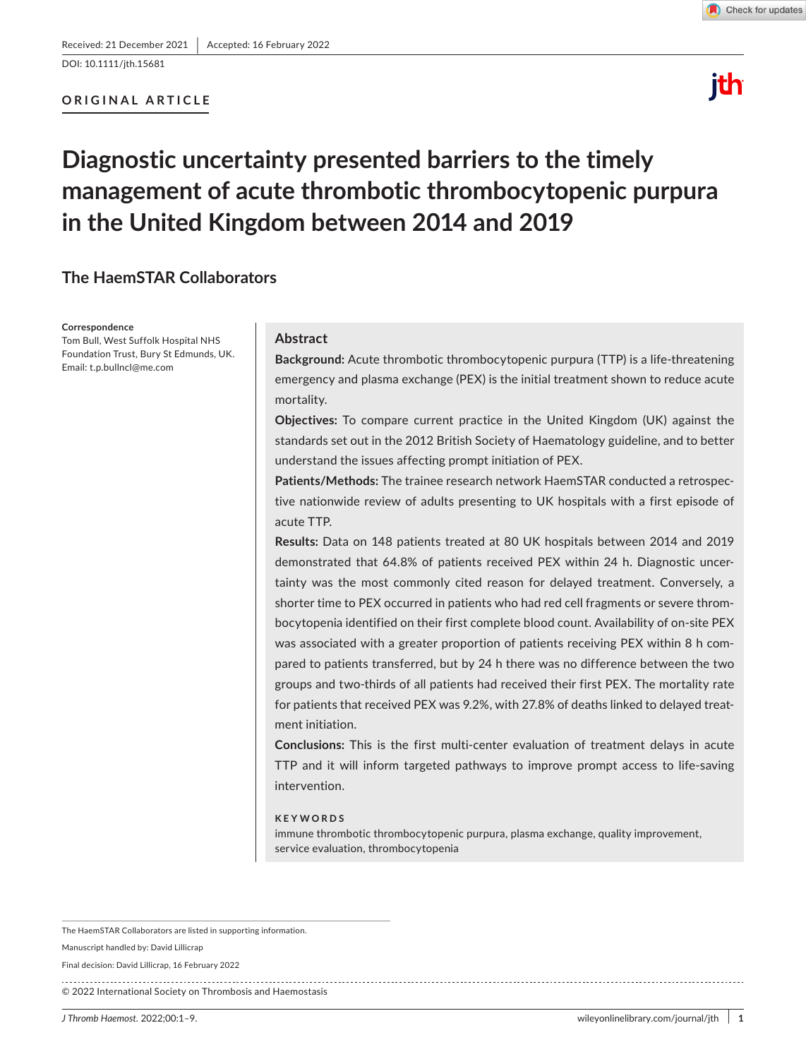DOI: 10.1111/jth.15681

#### **ORIGINAL ARTICLE**



# ith

## **Diagnostic uncertainty presented barriers to the timely management of acute thrombotic thrombocytopenic purpura in the United Kingdom between 2014 and 2019**

#### **The HaemSTAR Collaborators**

**Correspondence**

Tom Bull, West Suffolk Hospital NHS Foundation Trust, Bury St Edmunds, UK. Email: [t.p.bullncl@me.com](mailto:t.p.bullncl@me.com)

#### **Abstract**

**Background:** Acute thrombotic thrombocytopenic purpura (TTP) is a life-threatening emergency and plasma exchange (PEX) is the initial treatment shown to reduce acute mortality.

**Objectives:** To compare current practice in the United Kingdom (UK) against the standards set out in the 2012 British Society of Haematology guideline, and to better understand the issues affecting prompt initiation of PEX.

**Patients/Methods:** The trainee research network HaemSTAR conducted a retrospective nationwide review of adults presenting to UK hospitals with a first episode of acute TTP.

**Results:** Data on 148 patients treated at 80 UK hospitals between 2014 and 2019 demonstrated that 64.8% of patients received PEX within 24 h. Diagnostic uncertainty was the most commonly cited reason for delayed treatment. Conversely, a shorter time to PEX occurred in patients who had red cell fragments or severe thrombocytopenia identified on their first complete blood count. Availability of on-site PEX was associated with a greater proportion of patients receiving PEX within 8 h compared to patients transferred, but by 24 h there was no difference between the two groups and two-thirds of all patients had received their first PEX. The mortality rate for patients that received PEX was 9.2%, with 27.8% of deaths linked to delayed treatment initiation.

**Conclusions:** This is the first multi-center evaluation of treatment delays in acute TTP and it will inform targeted pathways to improve prompt access to life-saving intervention.

#### **KEYWORDS**

immune thrombotic thrombocytopenic purpura, plasma exchange, quality improvement, service evaluation, thrombocytopenia

The HaemSTAR Collaborators are listed in supporting information.

Manuscript handled by: David Lillicrap

Final decision: David Lillicrap, 16 February 2022

© 2022 International Society on Thrombosis and Haemostasis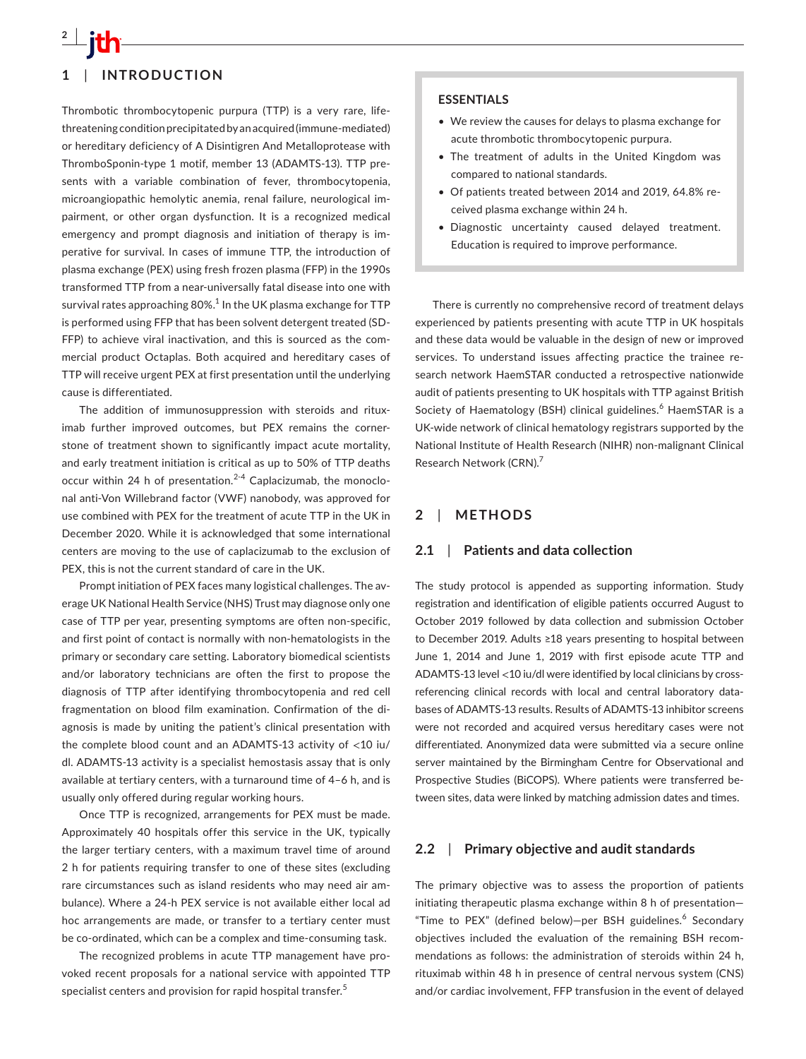

Thrombotic thrombocytopenic purpura (TTP) is a very rare, lifethreatening condition precipitated by an acquired (immune-mediated) or hereditary deficiency of A Disintigren And Metalloprotease with ThromboSponin-type 1 motif, member 13 (ADAMTS-13). TTP presents with a variable combination of fever, thrombocytopenia, microangiopathic hemolytic anemia, renal failure, neurological impairment, or other organ dysfunction. It is a recognized medical emergency and prompt diagnosis and initiation of therapy is imperative for survival. In cases of immune TTP, the introduction of plasma exchange (PEX) using fresh frozen plasma (FFP) in the 1990s transformed TTP from a near-universally fatal disease into one with survival rates approaching 80%. $^{\rm 1}$  In the UK plasma exchange for TTP is performed using FFP that has been solvent detergent treated (SD-FFP) to achieve viral inactivation, and this is sourced as the commercial product Octaplas. Both acquired and hereditary cases of TTP will receive urgent PEX at first presentation until the underlying cause is differentiated.

The addition of immunosuppression with steroids and rituximab further improved outcomes, but PEX remains the cornerstone of treatment shown to significantly impact acute mortality, and early treatment initiation is critical as up to 50% of TTP deaths occur within 24 h of presentation.<sup>2-4</sup> Caplacizumab, the monoclonal anti-Von Willebrand factor (VWF) nanobody, was approved for use combined with PEX for the treatment of acute TTP in the UK in December 2020. While it is acknowledged that some international centers are moving to the use of caplacizumab to the exclusion of PEX, this is not the current standard of care in the UK.

Prompt initiation of PEX faces many logistical challenges. The average UK National Health Service (NHS) Trust may diagnose only one case of TTP per year, presenting symptoms are often non-specific, and first point of contact is normally with non-hematologists in the primary or secondary care setting. Laboratory biomedical scientists and/or laboratory technicians are often the first to propose the diagnosis of TTP after identifying thrombocytopenia and red cell fragmentation on blood film examination. Confirmation of the diagnosis is made by uniting the patient's clinical presentation with the complete blood count and an ADAMTS-13 activity of <10 iu/ dl. ADAMTS-13 activity is a specialist hemostasis assay that is only available at tertiary centers, with a turnaround time of 4–6 h, and is usually only offered during regular working hours.

Once TTP is recognized, arrangements for PEX must be made. Approximately 40 hospitals offer this service in the UK, typically the larger tertiary centers, with a maximum travel time of around 2 h for patients requiring transfer to one of these sites (excluding rare circumstances such as island residents who may need air ambulance). Where a 24-h PEX service is not available either local ad hoc arrangements are made, or transfer to a tertiary center must be co-ordinated, which can be a complex and time-consuming task.

The recognized problems in acute TTP management have provoked recent proposals for a national service with appointed TTP specialist centers and provision for rapid hospital transfer.<sup>5</sup>

#### **ESSENTIALS**

- We review the causes for delays to plasma exchange for acute thrombotic thrombocytopenic purpura.
- The treatment of adults in the United Kingdom was compared to national standards.
- Of patients treated between 2014 and 2019, 64.8% received plasma exchange within 24 h.
- Diagnostic uncertainty caused delayed treatment. Education is required to improve performance.

There is currently no comprehensive record of treatment delays experienced by patients presenting with acute TTP in UK hospitals and these data would be valuable in the design of new or improved services. To understand issues affecting practice the trainee research network HaemSTAR conducted a retrospective nationwide audit of patients presenting to UK hospitals with TTP against British Society of Haematology (BSH) clinical guidelines.<sup>6</sup> HaemSTAR is a UK-wide network of clinical hematology registrars supported by the National Institute of Health Research (NIHR) non-malignant Clinical Research Network (CRN).7

#### **2**  | **METHODS**

#### **2.1**  | **Patients and data collection**

The study protocol is appended as supporting information. Study registration and identification of eligible patients occurred August to October 2019 followed by data collection and submission October to December 2019. Adults ≥18 years presenting to hospital between June 1, 2014 and June 1, 2019 with first episode acute TTP and ADAMTS-13 level <10 iu/dl were identified by local clinicians by crossreferencing clinical records with local and central laboratory databases of ADAMTS-13 results. Results of ADAMTS-13 inhibitor screens were not recorded and acquired versus hereditary cases were not differentiated. Anonymized data were submitted via a secure online server maintained by the Birmingham Centre for Observational and Prospective Studies (BiCOPS). Where patients were transferred between sites, data were linked by matching admission dates and times.

#### **2.2**  | **Primary objective and audit standards**

The primary objective was to assess the proportion of patients initiating therapeutic plasma exchange within 8 h of presentation— "Time to PEX" (defined below)-per BSH guidelines.<sup>6</sup> Secondary objectives included the evaluation of the remaining BSH recommendations as follows: the administration of steroids within 24 h, rituximab within 48 h in presence of central nervous system (CNS) and/or cardiac involvement, FFP transfusion in the event of delayed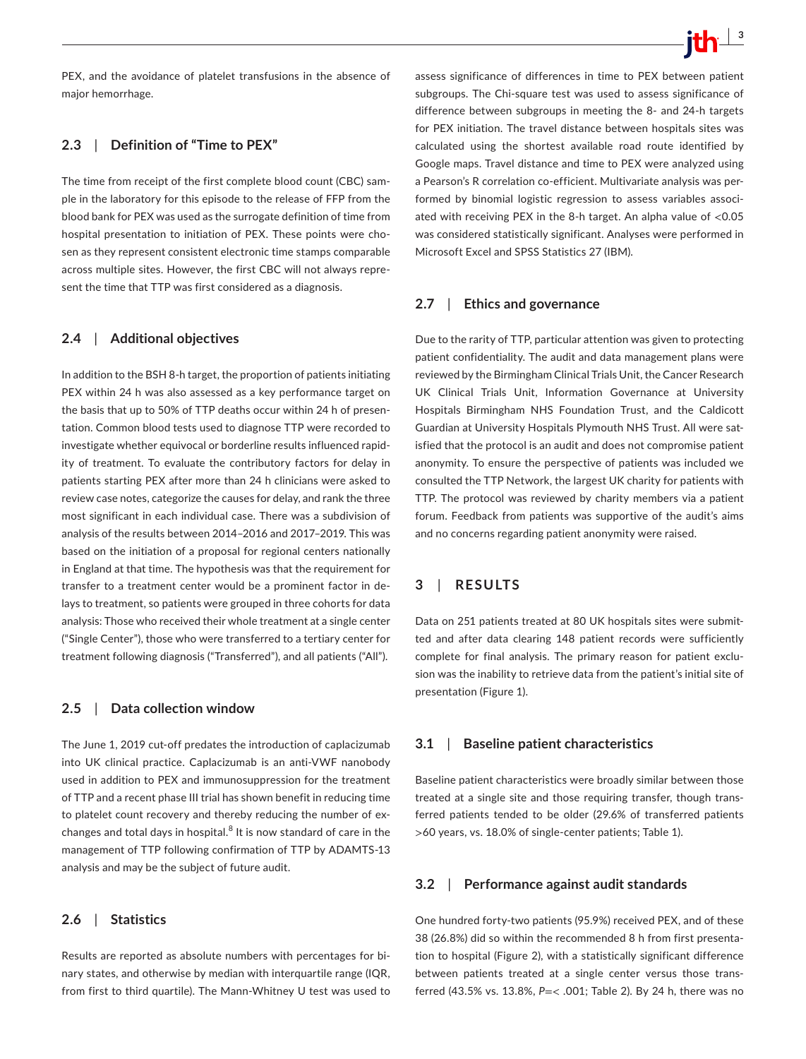PEX, and the avoidance of platelet transfusions in the absence of major hemorrhage.

#### **2.3**  | **Definition of "Time to PEX"**

The time from receipt of the first complete blood count (CBC) sample in the laboratory for this episode to the release of FFP from the blood bank for PEX was used as the surrogate definition of time from hospital presentation to initiation of PEX. These points were chosen as they represent consistent electronic time stamps comparable across multiple sites. However, the first CBC will not always represent the time that TTP was first considered as a diagnosis.

#### **2.4**  | **Additional objectives**

In addition to the BSH 8-h target, the proportion of patients initiating PEX within 24 h was also assessed as a key performance target on the basis that up to 50% of TTP deaths occur within 24 h of presentation. Common blood tests used to diagnose TTP were recorded to investigate whether equivocal or borderline results influenced rapidity of treatment. To evaluate the contributory factors for delay in patients starting PEX after more than 24 h clinicians were asked to review case notes, categorize the causes for delay, and rank the three most significant in each individual case. There was a subdivision of analysis of the results between 2014–2016 and 2017–2019. This was based on the initiation of a proposal for regional centers nationally in England at that time. The hypothesis was that the requirement for transfer to a treatment center would be a prominent factor in delays to treatment, so patients were grouped in three cohorts for data analysis: Those who received their whole treatment at a single center ("Single Center"), those who were transferred to a tertiary center for treatment following diagnosis ("Transferred"), and all patients ("All").

#### **2.5**  | **Data collection window**

The June 1, 2019 cut-off predates the introduction of caplacizumab into UK clinical practice. Caplacizumab is an anti-VWF nanobody used in addition to PEX and immunosuppression for the treatment of TTP and a recent phase III trial has shown benefit in reducing time to platelet count recovery and thereby reducing the number of exchanges and total days in hospital. $^8$  It is now standard of care in the management of TTP following confirmation of TTP by ADAMTS-13 analysis and may be the subject of future audit.

#### **2.6**  | **Statistics**

Results are reported as absolute numbers with percentages for binary states, and otherwise by median with interquartile range (IQR, from first to third quartile). The Mann-Whitney U test was used to assess significance of differences in time to PEX between patient subgroups. The Chi-square test was used to assess significance of difference between subgroups in meeting the 8- and 24-h targets for PEX initiation. The travel distance between hospitals sites was calculated using the shortest available road route identified by Google maps. Travel distance and time to PEX were analyzed using a Pearson's R correlation co-efficient. Multivariate analysis was performed by binomial logistic regression to assess variables associated with receiving PEX in the 8-h target. An alpha value of <0.05 was considered statistically significant. Analyses were performed in Microsoft Excel and SPSS Statistics 27 (IBM).

#### **2.7**  | **Ethics and governance**

Due to the rarity of TTP, particular attention was given to protecting patient confidentiality. The audit and data management plans were reviewed by the Birmingham Clinical Trials Unit, the Cancer Research UK Clinical Trials Unit, Information Governance at University Hospitals Birmingham NHS Foundation Trust, and the Caldicott Guardian at University Hospitals Plymouth NHS Trust. All were satisfied that the protocol is an audit and does not compromise patient anonymity. To ensure the perspective of patients was included we consulted the TTP Network, the largest UK charity for patients with TTP. The protocol was reviewed by charity members via a patient forum. Feedback from patients was supportive of the audit's aims and no concerns regarding patient anonymity were raised.

#### **3**  | **RESULTS**

Data on 251 patients treated at 80 UK hospitals sites were submitted and after data clearing 148 patient records were sufficiently complete for final analysis. The primary reason for patient exclusion was the inability to retrieve data from the patient's initial site of presentation (Figure 1).

#### **3.1**  | **Baseline patient characteristics**

Baseline patient characteristics were broadly similar between those treated at a single site and those requiring transfer, though transferred patients tended to be older (29.6% of transferred patients >60 years, vs. 18.0% of single-center patients; Table 1).

#### **3.2**  | **Performance against audit standards**

One hundred forty-two patients (95.9%) received PEX, and of these 38 (26.8%) did so within the recommended 8 h from first presentation to hospital (Figure 2), with a statistically significant difference between patients treated at a single center versus those transferred (43.5% vs. 13.8%, *P*=< .001; Table 2). By 24 h, there was no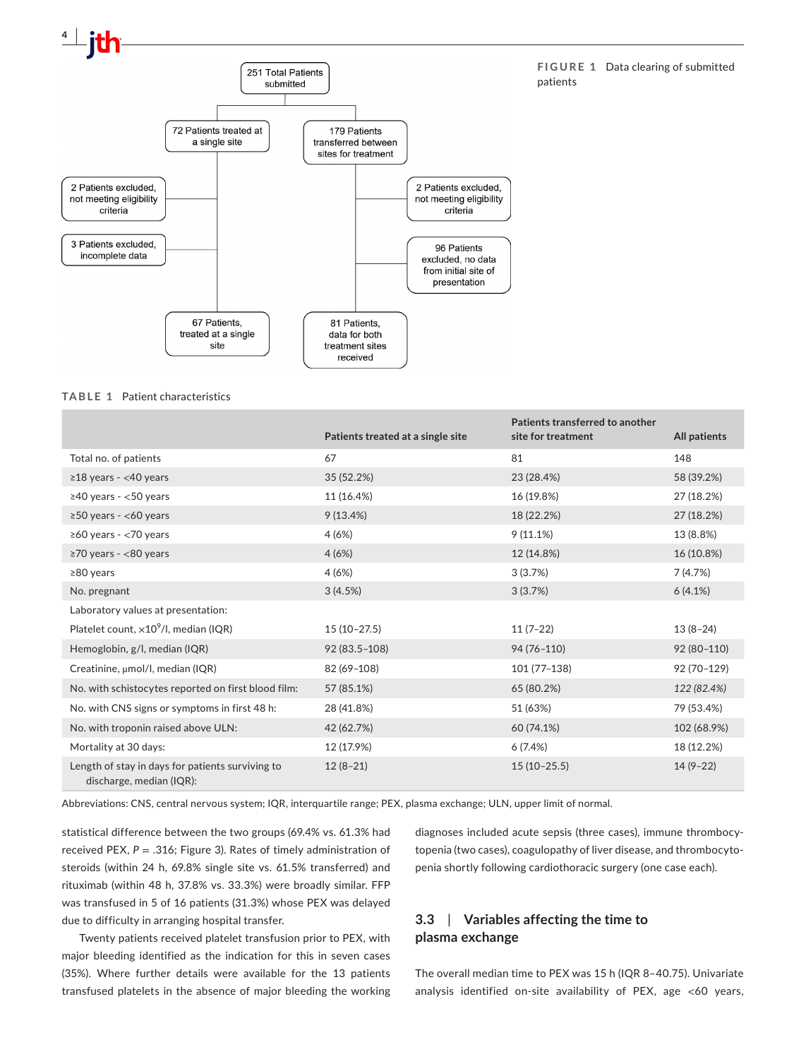

**TABLE 1** Patient characteristics

|                                                                              | Patients treated at a single site | Patients transferred to another<br>site for treatment | All patients |
|------------------------------------------------------------------------------|-----------------------------------|-------------------------------------------------------|--------------|
| Total no. of patients                                                        | 67                                | 81                                                    | 148          |
| $\geq$ 18 years - <40 years                                                  | 35 (52.2%)                        | 23 (28.4%)                                            | 58 (39.2%)   |
| $\geq$ 40 years - <50 years                                                  | 11 (16.4%)                        | 16 (19.8%)                                            | 27 (18.2%)   |
| $\geq$ 50 years - <60 years                                                  | 9(13.4%)                          | 18 (22.2%)                                            | 27 (18.2%)   |
| $\geq$ 60 years - <70 years                                                  | 4(6%)                             | 9(11.1%)                                              | 13 (8.8%)    |
| $\geq$ 70 years - <80 years                                                  | 4(6%)                             | 12 (14.8%)                                            | 16 (10.8%)   |
| $≥80$ years                                                                  | 4(6%)                             | 3(3.7%)                                               | 7(4.7%)      |
| No. pregnant                                                                 | 3(4.5%)                           | 3(3.7%)                                               | 6(4.1%)      |
| Laboratory values at presentation:                                           |                                   |                                                       |              |
| Platelet count, $\times 10^9$ /l, median (IQR)                               | $15(10-27.5)$                     | $11(7-22)$                                            | $13(8-24)$   |
| Hemoglobin, g/l, median (IQR)                                                | $92(83.5-108)$                    | 94 (76-110)                                           | 92 (80-110)  |
| Creatinine, µmol/l, median (IQR)                                             | 82 (69-108)                       | 101 (77-138)                                          | 92 (70-129)  |
| No. with schistocytes reported on first blood film:                          | 57 (85.1%)                        | 65 (80.2%)                                            | 122 (82.4%)  |
| No. with CNS signs or symptoms in first 48 h:                                | 28 (41.8%)                        | 51 (63%)                                              | 79 (53.4%)   |
| No. with troponin raised above ULN:                                          | 42 (62.7%)                        | 60 (74.1%)                                            | 102 (68.9%)  |
| Mortality at 30 days:                                                        | 12 (17.9%)                        | 6(7.4%)                                               | 18 (12.2%)   |
| Length of stay in days for patients surviving to<br>discharge, median (IQR): | $12(8-21)$                        | $15(10-25.5)$                                         | $14(9-22)$   |

Abbreviations: CNS, central nervous system; IQR, interquartile range; PEX, plasma exchange; ULN, upper limit of normal.

statistical difference between the two groups (69.4% vs. 61.3% had received PEX,  $P = .316$ ; Figure 3). Rates of timely administration of steroids (within 24 h, 69.8% single site vs. 61.5% transferred) and rituximab (within 48 h, 37.8% vs. 33.3%) were broadly similar. FFP was transfused in 5 of 16 patients (31.3%) whose PEX was delayed due to difficulty in arranging hospital transfer.

Twenty patients received platelet transfusion prior to PEX, with major bleeding identified as the indication for this in seven cases (35%). Where further details were available for the 13 patients transfused platelets in the absence of major bleeding the working diagnoses included acute sepsis (three cases), immune thrombocytopenia (two cases), coagulopathy of liver disease, and thrombocytopenia shortly following cardiothoracic surgery (one case each).

#### **3.3**  | **Variables affecting the time to plasma exchange**

The overall median time to PEX was 15 h (IQR 8–40.75). Univariate analysis identified on-site availability of PEX, age <60 years,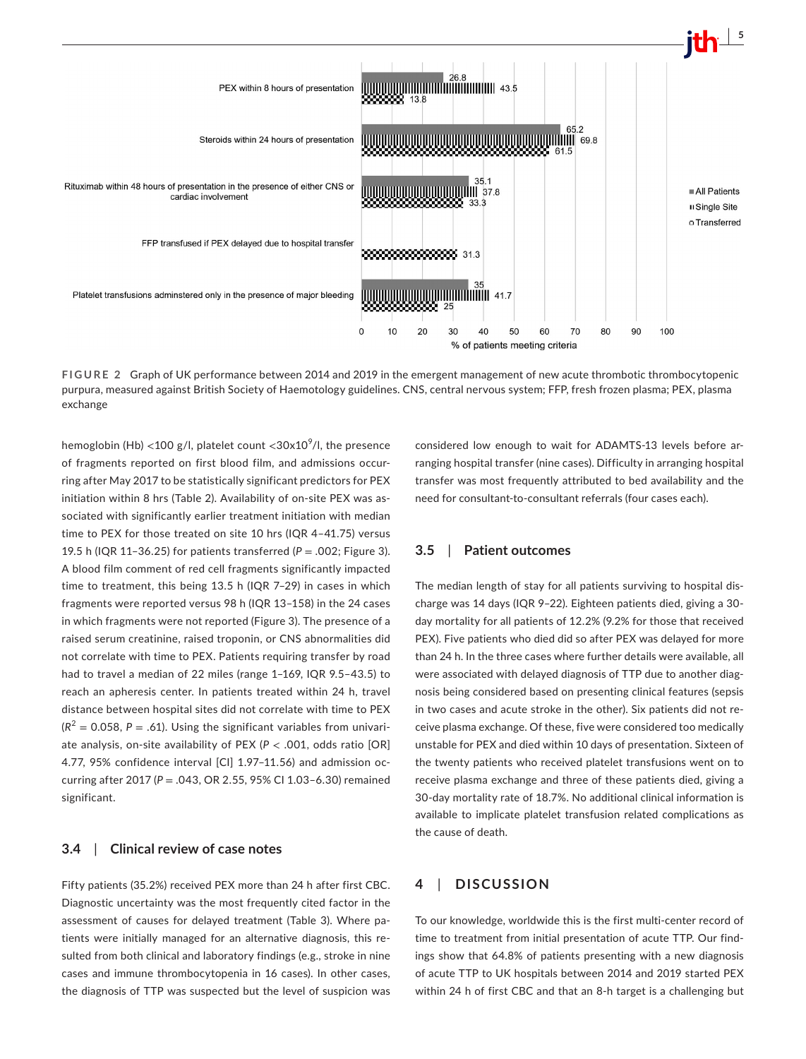

**FIGURE 2** Graph of UK performance between 2014 and 2019 in the emergent management of new acute thrombotic thrombocytopenic purpura, measured against British Society of Haemotology guidelines. CNS, central nervous system; FFP, fresh frozen plasma; PEX, plasma exchange

hemoglobin (Hb) <100 g/l, platelet count <30x10 $^{\circ}$ /l, the presence of fragments reported on first blood film, and admissions occurring after May 2017 to be statistically significant predictors for PEX initiation within 8 hrs (Table 2). Availability of on-site PEX was associated with significantly earlier treatment initiation with median time to PEX for those treated on site 10 hrs (IQR 4–41.75) versus 19.5 h (IQR 11-36.25) for patients transferred  $(P = .002;$  Figure 3). A blood film comment of red cell fragments significantly impacted time to treatment, this being 13.5 h (IQR 7–29) in cases in which fragments were reported versus 98 h (IQR 13–158) in the 24 cases in which fragments were not reported (Figure 3). The presence of a raised serum creatinine, raised troponin, or CNS abnormalities did not correlate with time to PEX. Patients requiring transfer by road had to travel a median of 22 miles (range 1–169, IQR 9.5–43.5) to reach an apheresis center. In patients treated within 24 h, travel distance between hospital sites did not correlate with time to PEX  $(R<sup>2</sup> = 0.058, P = .61)$ . Using the significant variables from univariate analysis, on-site availability of PEX (*P* < .001, odds ratio [OR] 4.77, 95% confidence interval [CI] 1.97–11.56) and admission occurring after 2017 (*P* = .043, OR 2.55, 95% CI 1.03–6.30) remained significant.

#### **3.4**  | **Clinical review of case notes**

Fifty patients (35.2%) received PEX more than 24 h after first CBC. Diagnostic uncertainty was the most frequently cited factor in the assessment of causes for delayed treatment (Table 3). Where patients were initially managed for an alternative diagnosis, this resulted from both clinical and laboratory findings (e.g., stroke in nine cases and immune thrombocytopenia in 16 cases). In other cases, the diagnosis of TTP was suspected but the level of suspicion was

considered low enough to wait for ADAMTS-13 levels before arranging hospital transfer (nine cases). Difficulty in arranging hospital transfer was most frequently attributed to bed availability and the need for consultant-to-consultant referrals (four cases each).

#### **3.5**  | **Patient outcomes**

The median length of stay for all patients surviving to hospital discharge was 14 days (IQR 9–22). Eighteen patients died, giving a 30 day mortality for all patients of 12.2% (9.2% for those that received PEX). Five patients who died did so after PEX was delayed for more than 24 h. In the three cases where further details were available, all were associated with delayed diagnosis of TTP due to another diagnosis being considered based on presenting clinical features (sepsis in two cases and acute stroke in the other). Six patients did not receive plasma exchange. Of these, five were considered too medically unstable for PEX and died within 10 days of presentation. Sixteen of the twenty patients who received platelet transfusions went on to receive plasma exchange and three of these patients died, giving a 30-day mortality rate of 18.7%. No additional clinical information is available to implicate platelet transfusion related complications as the cause of death.

#### **4**  | **DISCUSSION**

To our knowledge, worldwide this is the first multi-center record of time to treatment from initial presentation of acute TTP. Our findings show that 64.8% of patients presenting with a new diagnosis of acute TTP to UK hospitals between 2014 and 2019 started PEX within 24 h of first CBC and that an 8-h target is a challenging but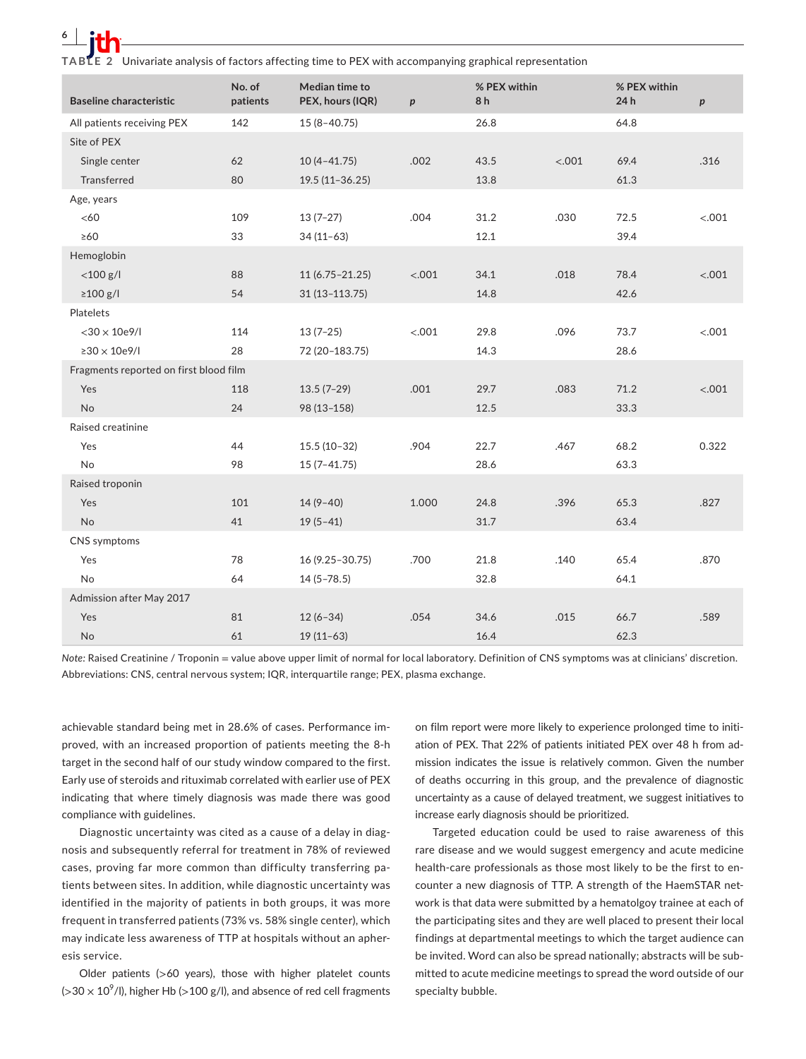**6 <sup>|</sup>** 

**TABLE 2** Univariate analysis of factors affecting time to PEX with accompanying graphical representation

| <b>Baseline characteristic</b>         | No. of<br>patients | Median time to<br>PEX, hours (IQR) | $\boldsymbol{p}$ | % PEX within<br>8h |        | % PEX within<br>24h | $\boldsymbol{p}$ |
|----------------------------------------|--------------------|------------------------------------|------------------|--------------------|--------|---------------------|------------------|
| All patients receiving PEX             | 142                | $15(8-40.75)$                      |                  | 26.8               |        | 64.8                |                  |
| Site of PEX                            |                    |                                    |                  |                    |        |                     |                  |
| Single center                          | 62                 | $10(4-41.75)$                      | .002             | 43.5               | < .001 | 69.4                | .316             |
| <b>Transferred</b>                     | 80                 | $19.5(11-36.25)$                   |                  | 13.8               |        | 61.3                |                  |
| Age, years                             |                    |                                    |                  |                    |        |                     |                  |
| <60                                    | 109                | $13(7-27)$                         | .004             | 31.2               | .030   | 72.5                | < .001           |
| $\geq 60$                              | 33                 | $34(11-63)$                        |                  | 12.1               |        | 39.4                |                  |
| Hemoglobin                             |                    |                                    |                  |                    |        |                     |                  |
| $<$ 100 g/l                            | 88                 | $11(6.75 - 21.25)$                 | < .001           | 34.1               | .018   | 78.4                | < .001           |
| $\geq$ 100 g/l                         | 54                 | $31(13-113.75)$                    |                  | 14.8               |        | 42.6                |                  |
| Platelets                              |                    |                                    |                  |                    |        |                     |                  |
| $<$ 30 $\times$ 10e9/l                 | 114                | $13(7-25)$                         | < .001           | 29.8               | .096   | 73.7                | < .001           |
| $\geq 30 \times 10e9$ /l               | 28                 | 72 (20-183.75)                     |                  | 14.3               |        | 28.6                |                  |
| Fragments reported on first blood film |                    |                                    |                  |                    |        |                     |                  |
| Yes                                    | 118                | $13.5(7-29)$                       | .001             | 29.7               | .083   | 71.2                | < .001           |
| No                                     | 24                 | 98 (13-158)                        |                  | 12.5               |        | 33.3                |                  |
| Raised creatinine                      |                    |                                    |                  |                    |        |                     |                  |
| Yes                                    | 44                 | $15.5(10-32)$                      | .904             | 22.7               | .467   | 68.2                | 0.322            |
| <b>No</b>                              | 98                 | $15(7-41.75)$                      |                  | 28.6               |        | 63.3                |                  |
| Raised troponin                        |                    |                                    |                  |                    |        |                     |                  |
| Yes                                    | 101                | $14(9-40)$                         | 1.000            | 24.8               | .396   | 65.3                | .827             |
| No                                     | 41                 | $19(5-41)$                         |                  | 31.7               |        | 63.4                |                  |
| CNS symptoms                           |                    |                                    |                  |                    |        |                     |                  |
| Yes                                    | 78                 | 16 (9.25-30.75)                    | .700             | 21.8               | .140   | 65.4                | .870             |
| <b>No</b>                              | 64                 | $14(5 - 78.5)$                     |                  | 32.8               |        | 64.1                |                  |
| Admission after May 2017               |                    |                                    |                  |                    |        |                     |                  |
| Yes                                    | 81                 | $12(6-34)$                         | .054             | 34.6               | .015   | 66.7                | .589             |
| No                                     | 61                 | $19(11-63)$                        |                  | 16.4               |        | 62.3                |                  |

*Note:* Raised Creatinine / Troponin = value above upper limit of normal for local laboratory. Definition of CNS symptoms was at clinicians' discretion. Abbreviations: CNS, central nervous system; IQR, interquartile range; PEX, plasma exchange.

achievable standard being met in 28.6% of cases. Performance improved, with an increased proportion of patients meeting the 8-h target in the second half of our study window compared to the first. Early use of steroids and rituximab correlated with earlier use of PEX indicating that where timely diagnosis was made there was good compliance with guidelines.

Diagnostic uncertainty was cited as a cause of a delay in diagnosis and subsequently referral for treatment in 78% of reviewed cases, proving far more common than difficulty transferring patients between sites. In addition, while diagnostic uncertainty was identified in the majority of patients in both groups, it was more frequent in transferred patients (73% vs. 58% single center), which may indicate less awareness of TTP at hospitals without an apheresis service.

Older patients (>60 years), those with higher platelet counts (>30  $\times$  10<sup>9</sup>/l), higher Hb (>100 g/l), and absence of red cell fragments on film report were more likely to experience prolonged time to initiation of PEX. That 22% of patients initiated PEX over 48 h from admission indicates the issue is relatively common. Given the number of deaths occurring in this group, and the prevalence of diagnostic uncertainty as a cause of delayed treatment, we suggest initiatives to increase early diagnosis should be prioritized.

Targeted education could be used to raise awareness of this rare disease and we would suggest emergency and acute medicine health-care professionals as those most likely to be the first to encounter a new diagnosis of TTP. A strength of the HaemSTAR network is that data were submitted by a hematolgoy trainee at each of the participating sites and they are well placed to present their local findings at departmental meetings to which the target audience can be invited. Word can also be spread nationally; abstracts will be submitted to acute medicine meetings to spread the word outside of our specialty bubble.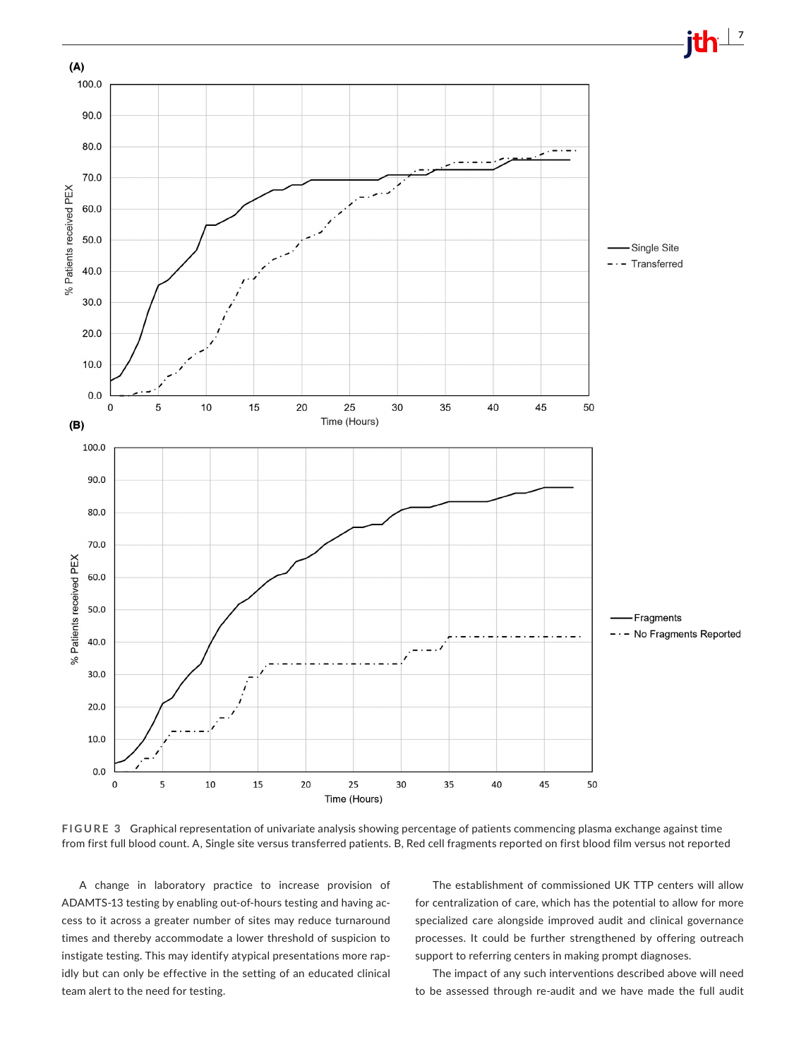

**FIGURE 3** Graphical representation of univariate analysis showing percentage of patients commencing plasma exchange against time from first full blood count. A, Single site versus transferred patients. B, Red cell fragments reported on first blood film versus not reported

A change in laboratory practice to increase provision of ADAMTS-13 testing by enabling out-of-hours testing and having access to it across a greater number of sites may reduce turnaround times and thereby accommodate a lower threshold of suspicion to instigate testing. This may identify atypical presentations more rapidly but can only be effective in the setting of an educated clinical team alert to the need for testing.

The establishment of commissioned UK TTP centers will allow for centralization of care, which has the potential to allow for more specialized care alongside improved audit and clinical governance processes. It could be further strengthened by offering outreach support to referring centers in making prompt diagnoses.

The impact of any such interventions described above will need to be assessed through re-audit and we have made the full audit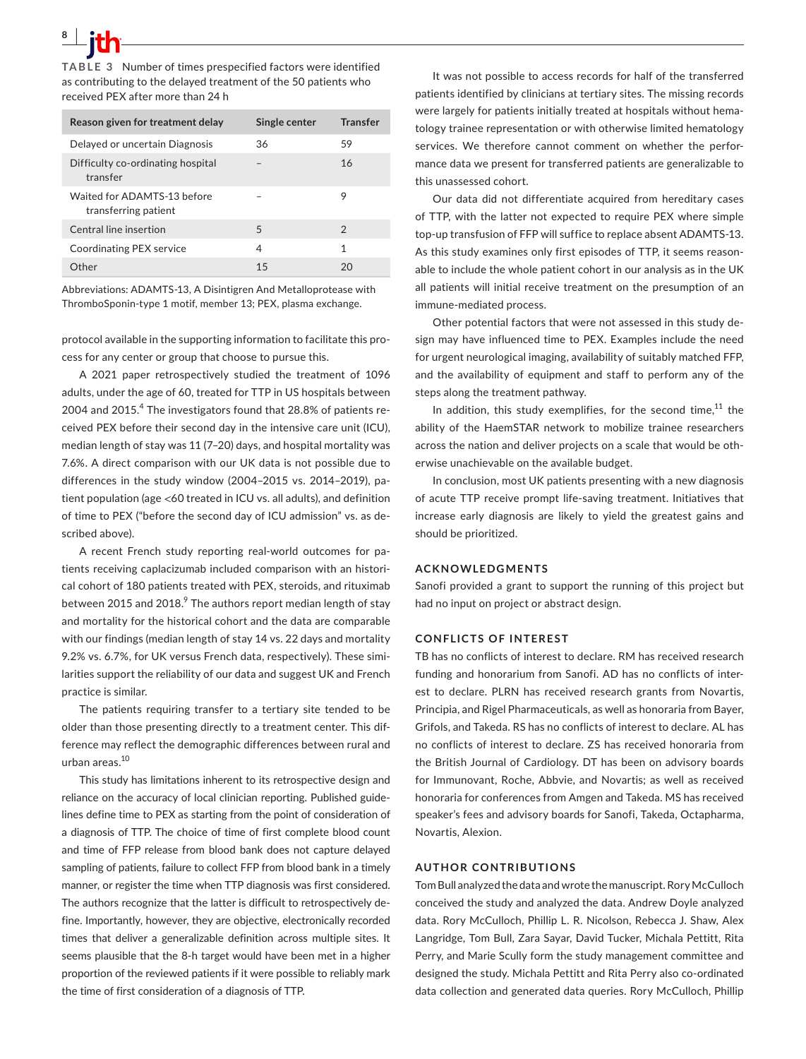**8 <sup>|</sup>** 

received PEX after more than 24 h

| Reason given for treatment delay                    | Single center | <b>Transfer</b> |
|-----------------------------------------------------|---------------|-----------------|
| Delayed or uncertain Diagnosis                      | 36            | 59              |
| Difficulty co-ordinating hospital<br>transfer       |               | 16              |
| Waited for ADAMTS-13 before<br>transferring patient |               | 9               |
| Central line insertion                              | 5             | $\mathfrak{D}$  |
| Coordinating PEX service                            | 4             | 1               |
| ∩ther                                               | 15            |                 |

Abbreviations: ADAMTS-13, A Disintigren And Metalloprotease with ThromboSponin-type 1 motif, member 13; PEX, plasma exchange.

protocol available in the supporting information to facilitate this process for any center or group that choose to pursue this.

A 2021 paper retrospectively studied the treatment of 1096 adults, under the age of 60, treated for TTP in US hospitals between 2004 and 2015.<sup>4</sup> The investigators found that 28.8% of patients received PEX before their second day in the intensive care unit (ICU), median length of stay was 11 (7–20) days, and hospital mortality was 7.6%. A direct comparison with our UK data is not possible due to differences in the study window (2004–2015 vs. 2014–2019), patient population (age <60 treated in ICU vs. all adults), and definition of time to PEX ("before the second day of ICU admission" vs. as described above).

A recent French study reporting real-world outcomes for patients receiving caplacizumab included comparison with an historical cohort of 180 patients treated with PEX, steroids, and rituximab between 2015 and 2018. $^9$  The authors report median length of stay and mortality for the historical cohort and the data are comparable with our findings (median length of stay 14 vs. 22 days and mortality 9.2% vs. 6.7%, for UK versus French data, respectively). These similarities support the reliability of our data and suggest UK and French practice is similar.

The patients requiring transfer to a tertiary site tended to be older than those presenting directly to a treatment center. This difference may reflect the demographic differences between rural and urban areas.10

This study has limitations inherent to its retrospective design and reliance on the accuracy of local clinician reporting. Published guidelines define time to PEX as starting from the point of consideration of a diagnosis of TTP. The choice of time of first complete blood count and time of FFP release from blood bank does not capture delayed sampling of patients, failure to collect FFP from blood bank in a timely manner, or register the time when TTP diagnosis was first considered. The authors recognize that the latter is difficult to retrospectively define. Importantly, however, they are objective, electronically recorded times that deliver a generalizable definition across multiple sites. It seems plausible that the 8-h target would have been met in a higher proportion of the reviewed patients if it were possible to reliably mark the time of first consideration of a diagnosis of TTP.

It was not possible to access records for half of the transferred patients identified by clinicians at tertiary sites. The missing records were largely for patients initially treated at hospitals without hematology trainee representation or with otherwise limited hematology services. We therefore cannot comment on whether the performance data we present for transferred patients are generalizable to this unassessed cohort.

Our data did not differentiate acquired from hereditary cases of TTP, with the latter not expected to require PEX where simple top-up transfusion of FFP will suffice to replace absent ADAMTS-13. As this study examines only first episodes of TTP, it seems reasonable to include the whole patient cohort in our analysis as in the UK all patients will initial receive treatment on the presumption of an immune-mediated process.

Other potential factors that were not assessed in this study design may have influenced time to PEX. Examples include the need for urgent neurological imaging, availability of suitably matched FFP, and the availability of equipment and staff to perform any of the steps along the treatment pathway.

In addition, this study exemplifies, for the second time,  $11$  the ability of the HaemSTAR network to mobilize trainee researchers across the nation and deliver projects on a scale that would be otherwise unachievable on the available budget.

In conclusion, most UK patients presenting with a new diagnosis of acute TTP receive prompt life-saving treatment. Initiatives that increase early diagnosis are likely to yield the greatest gains and should be prioritized.

#### **ACKNOWLEDGMENTS**

Sanofi provided a grant to support the running of this project but had no input on project or abstract design.

#### **CONFLICTS OF INTEREST**

TB has no conflicts of interest to declare. RM has received research funding and honorarium from Sanofi. AD has no conflicts of interest to declare. PLRN has received research grants from Novartis, Principia, and Rigel Pharmaceuticals, as well as honoraria from Bayer, Grifols, and Takeda. RS has no conflicts of interest to declare. AL has no conflicts of interest to declare. ZS has received honoraria from the British Journal of Cardiology. DT has been on advisory boards for Immunovant, Roche, Abbvie, and Novartis; as well as received honoraria for conferences from Amgen and Takeda. MS has received speaker's fees and advisory boards for Sanofi, Takeda, Octapharma, Novartis, Alexion.

#### **AUTHOR CONTRIBUTIONS**

Tom Bull analyzed the data and wrote the manuscript. Rory McCulloch conceived the study and analyzed the data. Andrew Doyle analyzed data. Rory McCulloch, Phillip L. R. Nicolson, Rebecca J. Shaw, Alex Langridge, Tom Bull, Zara Sayar, David Tucker, Michala Pettitt, Rita Perry, and Marie Scully form the study management committee and designed the study. Michala Pettitt and Rita Perry also co-ordinated data collection and generated data queries. Rory McCulloch, Phillip